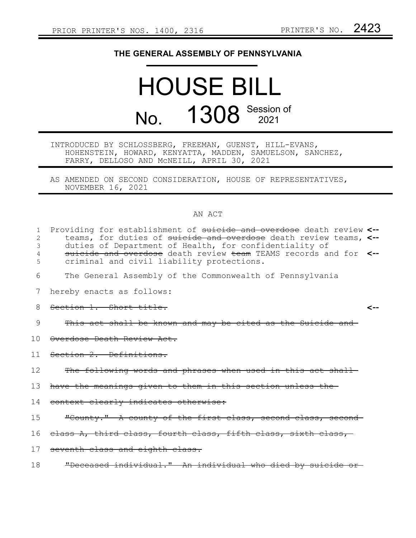## **THE GENERAL ASSEMBLY OF PENNSYLVANIA**

# HOUSE BILL No. 1308 Session of

### INTRODUCED BY SCHLOSSBERG, FREEMAN, GUENST, HILL-EVANS, HOHENSTEIN, HOWARD, KENYATTA, MADDEN, SAMUELSON, SANCHEZ, FARRY, DELLOSO AND McNEILL, APRIL 30, 2021

AS AMENDED ON SECOND CONSIDERATION, HOUSE OF REPRESENTATIVES, NOVEMBER 16, 2021

#### AN ACT

| 1<br>2<br>3<br>4<br>5 | Providing for establishment of suicide and overdose death review <--<br>teams, for duties of suicide and overdose death review teams, <--<br>duties of Department of Health, for confidentiality of<br>suicide and overdose death review team TEAMS records and for <--<br>criminal and civil liability protections. |
|-----------------------|----------------------------------------------------------------------------------------------------------------------------------------------------------------------------------------------------------------------------------------------------------------------------------------------------------------------|
| 6                     | The General Assembly of the Commonwealth of Pennsylvania                                                                                                                                                                                                                                                             |
| 7                     | hereby enacts as follows:                                                                                                                                                                                                                                                                                            |
| 8                     | Section 1. Short title.                                                                                                                                                                                                                                                                                              |
| 9                     | This act shall be known and may be cited as the Suicide and                                                                                                                                                                                                                                                          |
| 1 O                   | Overdose Death Review Act.                                                                                                                                                                                                                                                                                           |
| 11                    | Section 2. Definitions.                                                                                                                                                                                                                                                                                              |
| 12                    | The following words and phrases when used in this act shall                                                                                                                                                                                                                                                          |
| 13                    | have the meanings given to them in this section unless the-                                                                                                                                                                                                                                                          |
| 14                    | context clearly indicates otherwise:                                                                                                                                                                                                                                                                                 |
| 15                    | "County." A county of the first class, second class, second-                                                                                                                                                                                                                                                         |
| 16                    | elass A, third class, fourth class, fifth class, sixth class,                                                                                                                                                                                                                                                        |
| 17                    | seventh class and eighth class.                                                                                                                                                                                                                                                                                      |
| 18                    | "Deceased individual." An individual who died by suicide                                                                                                                                                                                                                                                             |
|                       |                                                                                                                                                                                                                                                                                                                      |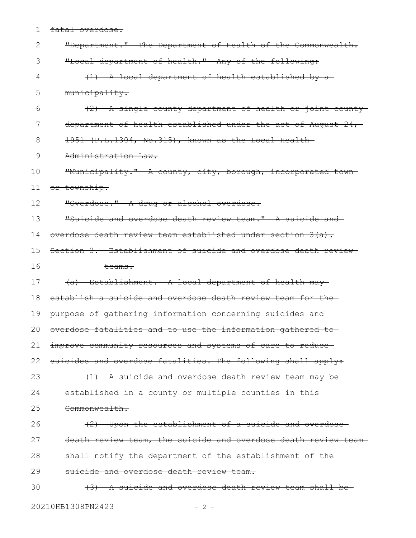1 fatal overdose.

| $\mathbf{2}$ | "Department." The Department of Health of the Commonwealth.    |
|--------------|----------------------------------------------------------------|
| 3            | "Local department of health." Any of the following:            |
| 4            | (1) A local department of health established by a-             |
| 5            | municipality.                                                  |
| 6            | (2) A single county department of health or joint county       |
| 7            | department of health established under the act of August 24,   |
| 8            | 1951 (P.L.1304, No.315), known as the Local Health-            |
| 9            | Administration Law.                                            |
| 10           | "Municipality." A county, city, borough, incorporated town     |
| 11           | or township.                                                   |
| 12           | "Overdose." A drug or alcohol overdose.                        |
| 13           | "Suicide and overdose death review team." A suicide and        |
| 14           | overdose death review team established under section 3(a).     |
| 15           | Section 3. Establishment of suicide and overdose death review- |
| 16           | <del>teams.</del>                                              |
| 17           | (a) Establishment. - A local department of health may-         |
| 18           | establish a suicide and overdose death review team for the     |
| 19           | purpose of gathering information concerning suicides and       |
| 20           | overdose fatalities and to use the information gathered to     |
| 21           | improve community resources and systems of care to reduce-     |
| 22           | suicides and overdose fatalities. The following shall apply:   |
| 23           | (1) A suicide and overdose death review team may be            |
| 24           | established in a county or multiple counties in this-          |
| 25           | Commonwealth.                                                  |
| 26           | (2) Upon the establishment of a suicide and overdose           |
| 27           | death review team, the suicide and overdose death review team- |
| 28           | shall notify the department of the establishment of the-       |
| 29           | suicide and overdose death review team.                        |
| 30           | (3) A suicide and overdose death review team shall be          |

20210HB1308PN2423 - 2 -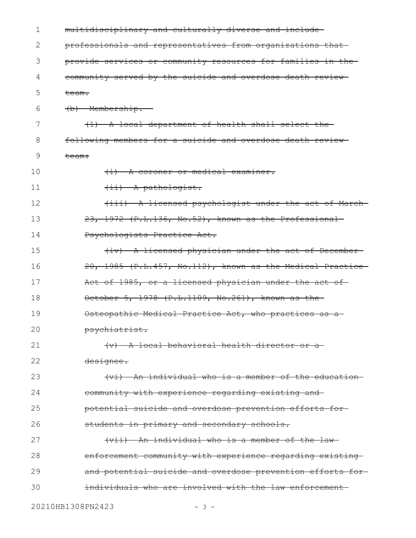| 1  | multidisciplinary and culturally diverse and include-        |
|----|--------------------------------------------------------------|
| 2  | professionals and representatives from organizations that    |
| 3  | provide services or community resources for families in the- |
| 4  | community served by the suicide and overdose death review-   |
| 5  | <del>team.</del>                                             |
| 6  | (b) Membership.                                              |
| 7  | (1) A local department of health shall select the-           |
| 8  | following members for a suicide and overdose death review-   |
| 9  | <del>team:</del>                                             |
| 10 | $(i)$ A coroner or medical examiner.                         |
| 11 | $(i)$ A pathologist.                                         |
| 12 | (iii) A licensed psychologist under the act of March-        |
| 13 | 23, 1972 (P.L.136, No.52), known as the Professional-        |
| 14 | Psychologists Practice Act.                                  |
| 15 | (iv) A licensed physician under the act of December-         |
| 16 | 20, 1985 (P.L.457, No.112), known as the Medical Practice    |
| 17 | Act of 1985, or a licensed physician under the act of        |
| 18 | October 5, 1978 (P.L.1109, No.261), known as the             |
| 19 | Osteopathic Medical Practice Act, who practices as a         |
| 20 | psychiatrist.                                                |
| 21 | (v) A local behavioral health director or a                  |
| 22 | <del>designee.</del>                                         |
| 23 | (vi) An individual who is a member of the education          |
| 24 | community with experience regarding existing and-            |
| 25 | potential suicide and overdose prevention efforts for-       |
| 26 | students in primary and secondary schools.                   |
| 27 | (vii) An individual who is a member of the law-              |
| 28 | enforcement community with experience regarding existing-    |
| 29 | and potential suicide and overdose prevention efforts for-   |
| 30 | individuals who are involved with the law enforcement-       |
|    |                                                              |

20210HB1308PN2423 - 3 -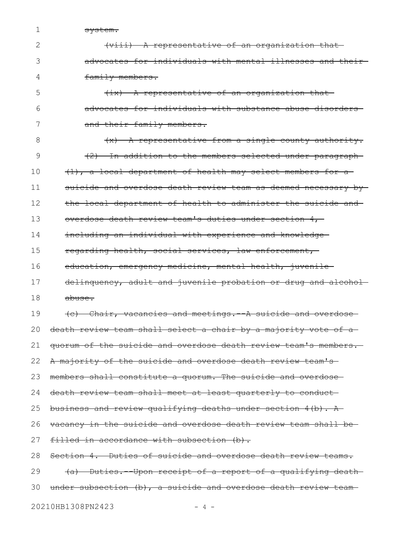system.

1

| (viii) A representative of an organization that           |
|-----------------------------------------------------------|
| advocates for individuals with mental illnesses and their |
| family members.                                           |

(ix) A representative of an organization that advocates for individuals with substance abuse disorders and their family members. 5 6 7

(x) A representative from a single county authority. (2) In addition to the members selected under paragraph (1), a local department of health may select members for a suicide and overdose death review team as deemed necessary bythe local department of health to administer the suicide and overdose death review team's duties under section 4, including an individual with experience and knowledge regarding health, social services, law enforcement, education, emergency medicine, mental health, juveniledelinquency, adult and juvenile probation or drug and alcoholabuse. (c) Chair, vacancies and meetings.--A suicide and overdose death review team shall select a chair by a majority vote of aquorum of the suicide and overdose death review team's members. A majority of the suicide and overdose death review team's members shall constitute a quorum. The suicide and overdose death review team shall meet at least quarterly to conduct business and review qualifying deaths under section 4(b). A vacancy in the suicide and overdose death review team shall be filled in accordance with subsection (b). Section 4. Duties of suicide and overdose death review teams. (a) Duties.--Upon receipt of a report of a qualifying death 8 9 10 11 12 13 14 15 16 17 18 19 20 21 22 23 24 25 26 27 28 29

under subsection (b), a suicide and overdose death review team-30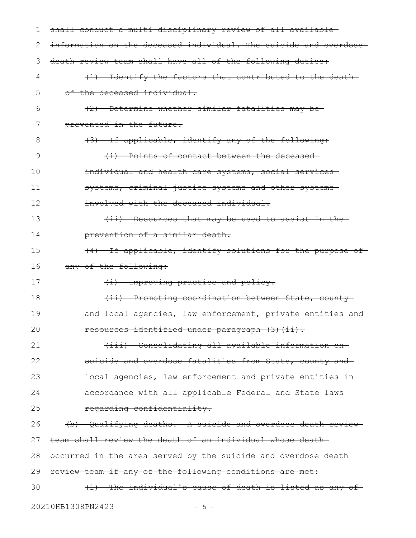| ı  | shall conduct a multi-disciplinary review of all available-       |
|----|-------------------------------------------------------------------|
| 2  | information on the deceased individual. The suicide and overdose- |
| 3  | death review team shall have all of the following duties:         |
| 4  | (1) Identify the factors that contributed to the death-           |
| 5  | of the deceased individual.                                       |
| 6  | (2) Determine whether similar fatalities may be                   |
| 7  | prevented in the future.                                          |
| 8  | (3) If applicable, identify any of the following:                 |
| 9  | (i) Points of contact between the deceased                        |
| 10 | individual and health care systems, social services-              |
| 11 | systems, criminal justice systems and other systems-              |
| 12 | involved with the deceased individual.                            |
| 13 | (ii) Resources that may be used to assist in the-                 |
| 14 | prevention of a similar death.                                    |
| 15 | (4) If applicable, identify solutions for the purpose of-         |
| 16 | any of the following:                                             |
| 17 | (i) Improving practice and policy.                                |
| 18 | (ii) Promoting coordination between State, county                 |
| 19 | and local agencies, law enforcement, private entities and         |
| 20 | resources identified under paragraph (3)(ii).                     |
| 21 | (iii) Consolidating all available information on-                 |
| 22 | suicide and overdose fatalities from State, county and            |
| 23 | local agencies, law enforcement and private entities in-          |
| 24 | accordance with all applicable Federal and State laws-            |
| 25 | regarding confidentiality.                                        |
| 26 | (b) Qualifying deaths. A suicide and overdose death review-       |
| 27 | team shall review the death of an individual whose death-         |
| 28 | occurred in the area served by the suicide and overdose death     |
| 29 | review team if any of the following conditions are met:           |
| 30 | The individual's cause of death is listed as any of-<br>$+1$      |
|    |                                                                   |

20210HB1308PN2423 - 5 -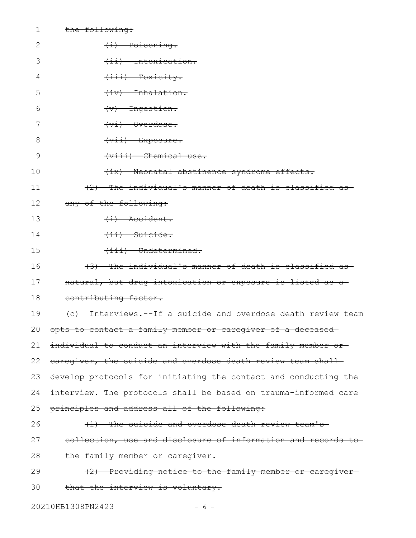| $\mathbf 1$  | the following:                                                   |
|--------------|------------------------------------------------------------------|
| $\mathbf{2}$ | (i) Poisoning.                                                   |
| 3            | (ii) Intoxication.                                               |
| 4            | $\overline{+}i\overline{i}$ Toxicity.                            |
| 5            | $\leftarrow$ $\leftarrow$ Inhalation.                            |
| 6            | $\left\langle \mathrm{v}\right\rangle$ Ingestion.                |
| 7            | $+v\texttt{i}$ Overdose.                                         |
| 8            | $(vii)$ Exposure.                                                |
| 9            | (viii) Chemical use.                                             |
| 10           | (ix) Neonatal abstinence syndrome effects.                       |
| 11           | (2) The individual's manner of death is classified as            |
| 12           | any of the following:                                            |
| 13           | $\leftarrow$ $\leftarrow$ $\leftarrow$ $\leftarrow$              |
| 14           | $\overline{$ +ii) Suicide.                                       |
| 15           | $\overbrace{\text{indetermined.}}$                               |
| 16           | (3) The individual's manner of death is classified as            |
| 17           | natural, but drug intoxication or exposure is listed as a-       |
| 18           | contributing factor.                                             |
| 19           | (e) Interviews. If a suicide and overdose death review team-     |
| 20           | opts to contact a family member or caregiver of a deceased       |
| 21           | individual to conduct an interview with the family member or-    |
| 22           | earegiver, the suicide and overdose death review team shall-     |
| 23           | develop protocols for initiating the contact and conducting the  |
| 24           | interview. The protocols shall be based on trauma informed care- |
| 25           | principles and address all of the following:                     |
| 26           | (1) The suicide and overdose death review team's                 |
| 27           | collection, use and disclosure of information and records to     |
| 28           | the family member or caregiver.                                  |
| 29           | (2) Providing notice to the family member or caregiver-          |
| 30           | that the interview is voluntary.                                 |
|              |                                                                  |

20210HB1308PN2423 - 6 -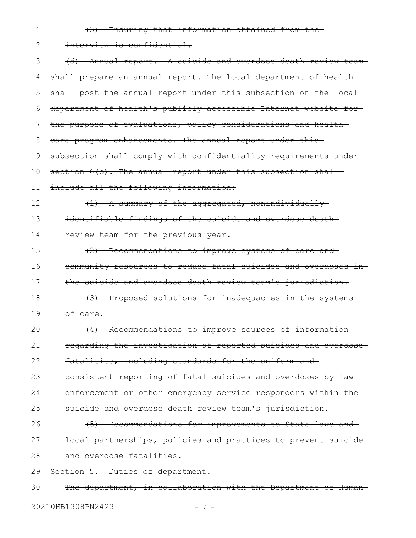- 1
- (3) Ensuring that information attained from the

interview is confidential. (d) Annual report.--A suicide and overdose death review team shall prepare an annual report. The local department of healthshall post the annual report under this subsection on the localdepartment of health's publicly accessible Internet website for the purpose of evaluations, policy considerations and health care program enhancements. The annual report under this subsection shall comply with confidentiality requirements undersection  $6(b)$ . The annual report under this subsection shallinclude all the following information: (1) A summary of the aggregated, nonindividually identifiable findings of the suicide and overdose death review team for the previous year. (2) Recommendations to improve systems of care and community resources to reduce fatal suicides and overdoses in the suicide and overdose death review team's jurisdiction. (3) Proposed solutions for inadequacies in the systems of care. (4) Recommendations to improve sources of information regarding the investigation of reported suicides and overdose fatalities, including standards for the uniform andconsistent reporting of fatal suicides and overdoses by law enforcement or other emergency service responders within the suicide and overdose death review team's jurisdiction. (5) Recommendations for improvements to State laws and local partnerships, policies and practices to prevent suicide and overdose fatalities. Section 5. Duties of department. The department, in collaboration with the Department of Human-2 3 4 5 6 7 8 9 10 11 12 13 14 15 16 17 18 19 20 21 22 23 24 25 26 27 28 29 30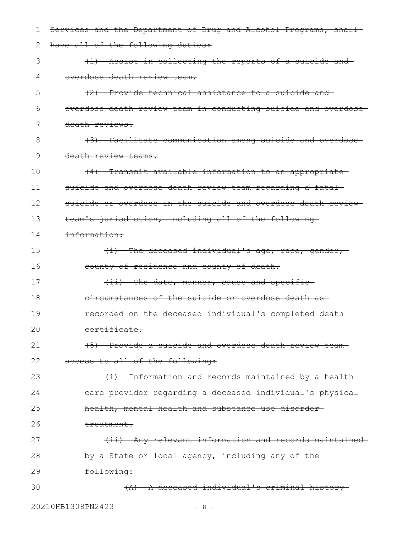| ı  | Services and the Department of Drug and Alcohol Programs, shall- |
|----|------------------------------------------------------------------|
| 2  | have all of the following duties:                                |
| 3  | (1) Assist in collecting the reports of a suicide and            |
| 4  | overdose death review team.                                      |
| 5  | (2) Provide technical assistance to a suicide and                |
| 6  | overdose death review team in conducting suicide and overdose-   |
| 7  | death reviews.                                                   |
| 8  | (3) Facilitate communication among suicide and overdose          |
| 9  | death review teams.                                              |
| 10 | (4) Transmit available information to an appropriate             |
| 11 | suicide and overdose death review team regarding a fatal-        |
| 12 | suicide or overdose in the suicide and overdose death review     |
| 13 | team's jurisdiction, including all of the following-             |
| 14 | information:                                                     |
| 15 | $\{i\}$ The deceased individual's age, race, gender,             |
| 16 | county of residence and county of death.                         |
| 17 | (ii) The date, manner, cause and specific-                       |
| 18 | eircumstances of the suicide or overdose death as-               |
| 19 | recorded on the deceased individual's completed death-           |
| 20 | certificate.                                                     |
| 21 | (5) Provide a suicide and overdose death review team-            |
| 22 | access to all of the following:                                  |
| 23 | (i) Information and records maintained by a health-              |
| 24 | care provider regarding a deceased individual's physical-        |
| 25 | health, mental health and substance use disorder-                |
| 26 | treatment.                                                       |
| 27 | (ii) Any relevant information and records maintained             |
| 28 | by a State or local agency, including any of the-                |
| 29 | following:                                                       |
| 30 | (A) A deceased individual's criminal history-                    |
|    |                                                                  |

20210HB1308PN2423 - 8 -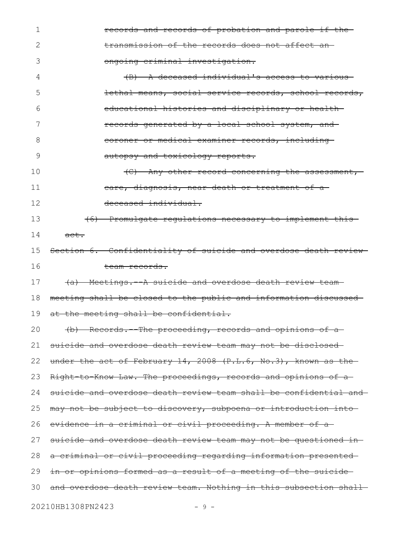| 1  | records and records of probation and parole if the-               |
|----|-------------------------------------------------------------------|
| 2  | transmission of the records does not affect an-                   |
| 3  | ongoing criminal investigation.                                   |
| 4  | (B) A deceased individual's access to various-                    |
| 5  | lethal means, social service records, school records,             |
| 6  | educational histories and disciplinary or health-                 |
| 7  | records generated by a local school system, and                   |
| 8  | coroner or medical examiner records, including                    |
| 9  | autopsy and toxicology reports.                                   |
| 10 | $\langle C \rangle$ Any other record concerning the assessment,   |
| 11 | eare, diagnosis, near death or treatment of a                     |
| 12 | deceased individual.                                              |
| 13 | (6) Promulgate regulations necessary to implement this            |
| 14 | <del>act.</del>                                                   |
| 15 | Section 6. Confidentiality of suicide and overdose death review-  |
| 16 | team records.                                                     |
| 17 | (a) Meetings. - A suicide and overdose death review team-         |
| 18 | meeting shall be closed to the public and information discussed   |
| 19 | at the meeting shall be confidential.                             |
| 20 | (b) Records. The proceeding, records and opinions of a            |
| 21 | suicide and overdose death review team may not be disclosed       |
| 22 | under the act of February 14, 2008 (P.L.6, No.3), known as the    |
| 23 | Right to Know Law. The proceedings, records and opinions of a     |
| 24 | suicide and overdose death review team shall be confidential and  |
| 25 | may not be subject to discovery, subpoena or introduction into    |
| 26 | evidence in a criminal or civil proceeding. A member of a         |
|    |                                                                   |
| 27 | suicide and overdose death review team may not be questioned in-  |
| 28 | a criminal or civil proceeding regarding information presented-   |
| 29 | in or opinions formed as a result of a meeting of the suicide     |
| 30 | and overdose death review team. Nothing in this subsection shall- |

20210HB1308PN2423 - 9 -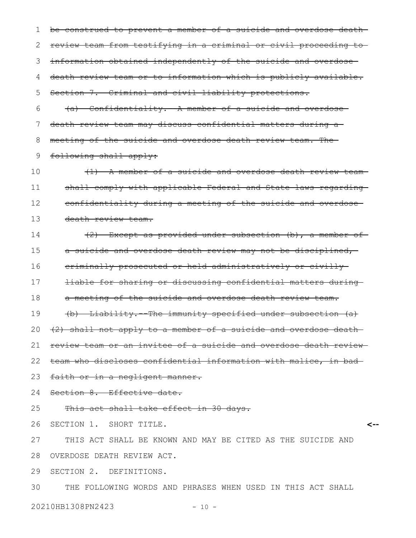be construed to prevent a member of a suicide and overdose death review team from testifying in a criminal or civil proceeding to information obtained independently of the suicide and overdose death review team or to information which is publicly available. Section 7. Criminal and civil liability protections**.** (a) Confidentiality.--A member of a suicide and overdose death review team may discuss confidential matters during a 1 2 3 4 5 6 7

meeting of the suicide and overdose death review team. The 8

following shall apply: 9

(1) A member of a suicide and overdose death review team shall comply with applicable Federal and State laws regarding confidentiality during a meeting of the suicide and overdose death review team. 10 11 12 13

(2) Except as provided under subsection (b), a member of a suicide and overdose death review may not be disciplined, criminally prosecuted or held administratively or civilly liable for sharing or discussing confidential matters during a meeting of the suicide and overdose death review team. (b) Liability.--The immunity specified under subsection (a) (2) shall not apply to a member of a suicide and overdose death review team or an invitee of a suicide and overdose death review team who discloses confidential information with malice, in bad 14 15 16 17 18 19 20 21 22

faith or in a negligent manner. 23

Section 8. Effective date**.** 24

This act shall take effect in 30 days. 25

SECTION 1. SHORT TITLE. 26

**<--**

THIS ACT SHALL BE KNOWN AND MAY BE CITED AS THE SUICIDE AND OVERDOSE DEATH REVIEW ACT. 27 28

SECTION 2. DEFINITIONS. 29

THE FOLLOWING WORDS AND PHRASES WHEN USED IN THIS ACT SHALL 30

20210HB1308PN2423 - 10 -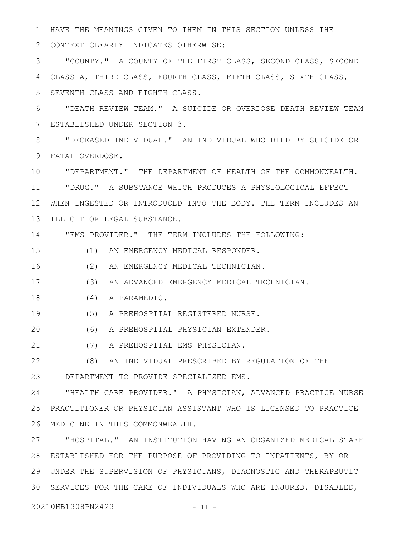HAVE THE MEANINGS GIVEN TO THEM IN THIS SECTION UNLESS THE 1

CONTEXT CLEARLY INDICATES OTHERWISE: 2

"COUNTY." A COUNTY OF THE FIRST CLASS, SECOND CLASS, SECOND CLASS A, THIRD CLASS, FOURTH CLASS, FIFTH CLASS, SIXTH CLASS, SEVENTH CLASS AND EIGHTH CLASS. 3 4 5

"DEATH REVIEW TEAM." A SUICIDE OR OVERDOSE DEATH REVIEW TEAM ESTABLISHED UNDER SECTION 3. 6 7

"DECEASED INDIVIDUAL." AN INDIVIDUAL WHO DIED BY SUICIDE OR FATAL OVERDOSE. 9 8

"DEPARTMENT." THE DEPARTMENT OF HEALTH OF THE COMMONWEALTH. "DRUG." A SUBSTANCE WHICH PRODUCES A PHYSIOLOGICAL EFFECT 12 WHEN INGESTED OR INTRODUCED INTO THE BODY. THE TERM INCLUDES AN ILLICIT OR LEGAL SUBSTANCE. 10 11 13

"EMS PROVIDER." THE TERM INCLUDES THE FOLLOWING: 14

(1) AN EMERGENCY MEDICAL RESPONDER. 15

(2) AN EMERGENCY MEDICAL TECHNICIAN. 16

(3) AN ADVANCED EMERGENCY MEDICAL TECHNICIAN. 17

(4) A PARAMEDIC. 18

(5) A PREHOSPITAL REGISTERED NURSE. 19

(6) A PREHOSPITAL PHYSICIAN EXTENDER. 20

(7) A PREHOSPITAL EMS PHYSICIAN. 21

(8) AN INDIVIDUAL PRESCRIBED BY REGULATION OF THE DEPARTMENT TO PROVIDE SPECIALIZED EMS. 22 23

"HEALTH CARE PROVIDER." A PHYSICIAN, ADVANCED PRACTICE NURSE PRACTITIONER OR PHYSICIAN ASSISTANT WHO IS LICENSED TO PRACTICE MEDICINE IN THIS COMMONWEALTH. 26 24 25

"HOSPITAL." AN INSTITUTION HAVING AN ORGANIZED MEDICAL STAFF ESTABLISHED FOR THE PURPOSE OF PROVIDING TO INPATIENTS, BY OR 28 UNDER THE SUPERVISION OF PHYSICIANS, DIAGNOSTIC AND THERAPEUTIC 29 SERVICES FOR THE CARE OF INDIVIDUALS WHO ARE INJURED, DISABLED, 3027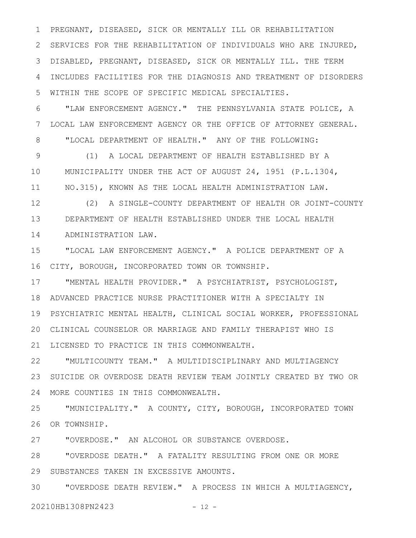PREGNANT, DISEASED, SICK OR MENTALLY ILL OR REHABILITATION 2 SERVICES FOR THE REHABILITATION OF INDIVIDUALS WHO ARE INJURED, DISABLED, PREGNANT, DISEASED, SICK OR MENTALLY ILL. THE TERM 3 INCLUDES FACILITIES FOR THE DIAGNOSIS AND TREATMENT OF DISORDERS WITHIN THE SCOPE OF SPECIFIC MEDICAL SPECIALTIES. 1 4 5

"LAW ENFORCEMENT AGENCY." THE PENNSYLVANIA STATE POLICE, A LOCAL LAW ENFORCEMENT AGENCY OR THE OFFICE OF ATTORNEY GENERAL. "LOCAL DEPARTMENT OF HEALTH." ANY OF THE FOLLOWING: 6 7 8

(1) A LOCAL DEPARTMENT OF HEALTH ESTABLISHED BY A MUNICIPALITY UNDER THE ACT OF AUGUST 24, 1951 (P.L.1304, NO.315), KNOWN AS THE LOCAL HEALTH ADMINISTRATION LAW. 9 10 11

(2) A SINGLE-COUNTY DEPARTMENT OF HEALTH OR JOINT-COUNTY DEPARTMENT OF HEALTH ESTABLISHED UNDER THE LOCAL HEALTH 13 ADMINISTRATION LAW. 12 14

"LOCAL LAW ENFORCEMENT AGENCY." A POLICE DEPARTMENT OF A CITY, BOROUGH, INCORPORATED TOWN OR TOWNSHIP. 16 15

"MENTAL HEALTH PROVIDER." A PSYCHIATRIST, PSYCHOLOGIST, ADVANCED PRACTICE NURSE PRACTITIONER WITH A SPECIALTY IN 18 PSYCHIATRIC MENTAL HEALTH, CLINICAL SOCIAL WORKER, PROFESSIONAL 19 CLINICAL COUNSELOR OR MARRIAGE AND FAMILY THERAPIST WHO IS 20 21 LICENSED TO PRACTICE IN THIS COMMONWEALTH. 17

"MULTICOUNTY TEAM." A MULTIDISCIPLINARY AND MULTIAGENCY 23 SUICIDE OR OVERDOSE DEATH REVIEW TEAM JOINTLY CREATED BY TWO OR MORE COUNTIES IN THIS COMMONWEALTH. 24 22

"MUNICIPALITY." A COUNTY, CITY, BOROUGH, INCORPORATED TOWN 26 OR TOWNSHIP. 25

"OVERDOSE." AN ALCOHOL OR SUBSTANCE OVERDOSE. 27

"OVERDOSE DEATH." A FATALITY RESULTING FROM ONE OR MORE 29 SUBSTANCES TAKEN IN EXCESSIVE AMOUNTS. 28

"OVERDOSE DEATH REVIEW." A PROCESS IN WHICH A MULTIAGENCY, 20210HB1308PN2423 - 12 -30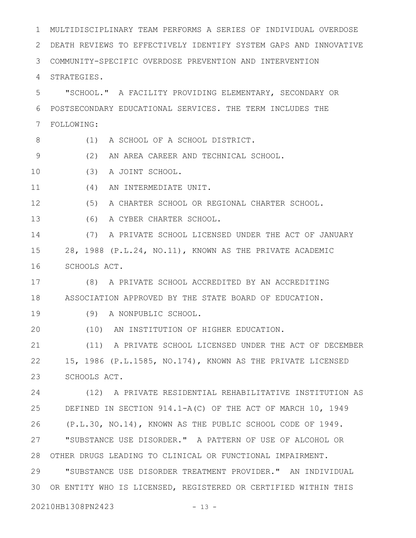MULTIDISCIPLINARY TEAM PERFORMS A SERIES OF INDIVIDUAL OVERDOSE DEATH REVIEWS TO EFFECTIVELY IDENTIFY SYSTEM GAPS AND INNOVATIVE COMMUNITY-SPECIFIC OVERDOSE PREVENTION AND INTERVENTION STRATEGIES. "SCHOOL." A FACILITY PROVIDING ELEMENTARY, SECONDARY OR POSTSECONDARY EDUCATIONAL SERVICES. THE TERM INCLUDES THE FOLLOWING: (1) A SCHOOL OF A SCHOOL DISTRICT. (2) AN AREA CAREER AND TECHNICAL SCHOOL. (3) A JOINT SCHOOL. (4) AN INTERMEDIATE UNIT. (5) A CHARTER SCHOOL OR REGIONAL CHARTER SCHOOL. (6) A CYBER CHARTER SCHOOL. (7) A PRIVATE SCHOOL LICENSED UNDER THE ACT OF JANUARY 28, 1988 (P.L.24, NO.11), KNOWN AS THE PRIVATE ACADEMIC SCHOOLS ACT. (8) A PRIVATE SCHOOL ACCREDITED BY AN ACCREDITING ASSOCIATION APPROVED BY THE STATE BOARD OF EDUCATION. (9) A NONPUBLIC SCHOOL. (10) AN INSTITUTION OF HIGHER EDUCATION. (11) A PRIVATE SCHOOL LICENSED UNDER THE ACT OF DECEMBER 15, 1986 (P.L.1585, NO.174), KNOWN AS THE PRIVATE LICENSED SCHOOLS ACT. (12) A PRIVATE RESIDENTIAL REHABILITATIVE INSTITUTION AS DEFINED IN SECTION 914.1-A(C) OF THE ACT OF MARCH 10, 1949 (P.L.30, NO.14), KNOWN AS THE PUBLIC SCHOOL CODE OF 1949. "SUBSTANCE USE DISORDER." A PATTERN OF USE OF ALCOHOL OR OTHER DRUGS LEADING TO CLINICAL OR FUNCTIONAL IMPAIRMENT. "SUBSTANCE USE DISORDER TREATMENT PROVIDER." AN INDIVIDUAL 30 OR ENTITY WHO IS LICENSED, REGISTERED OR CERTIFIED WITHIN THIS 20210HB1308PN2423 - 13 -1 2 3 4 5 6 7 8 9 10 11 12 13 14 15 16 17 18 19 20 21 22 23 24 25 26 27 28 29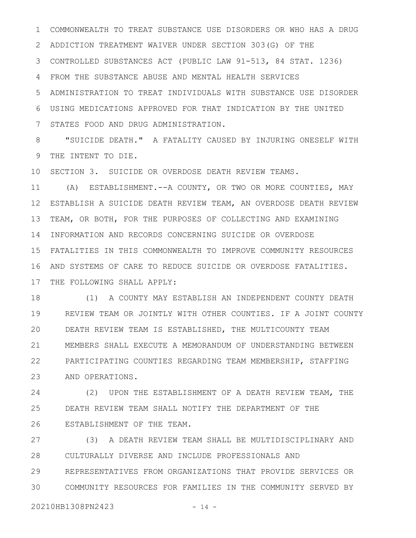COMMONWEALTH TO TREAT SUBSTANCE USE DISORDERS OR WHO HAS A DRUG ADDICTION TREATMENT WAIVER UNDER SECTION 303(G) OF THE CONTROLLED SUBSTANCES ACT (PUBLIC LAW 91-513, 84 STAT. 1236) FROM THE SUBSTANCE ABUSE AND MENTAL HEALTH SERVICES ADMINISTRATION TO TREAT INDIVIDUALS WITH SUBSTANCE USE DISORDER USING MEDICATIONS APPROVED FOR THAT INDICATION BY THE UNITED STATES FOOD AND DRUG ADMINISTRATION. 1 2 3 4 5 6 7

"SUICIDE DEATH." A FATALITY CAUSED BY INJURING ONESELF WITH THE INTENT TO DIE. 8 9

10 SECTION 3. SUICIDE OR OVERDOSE DEATH REVIEW TEAMS.

(A) ESTABLISHMENT.--A COUNTY, OR TWO OR MORE COUNTIES, MAY ESTABLISH A SUICIDE DEATH REVIEW TEAM, AN OVERDOSE DEATH REVIEW 12 TEAM, OR BOTH, FOR THE PURPOSES OF COLLECTING AND EXAMINING 14 INFORMATION AND RECORDS CONCERNING SUICIDE OR OVERDOSE FATALITIES IN THIS COMMONWEALTH TO IMPROVE COMMUNITY RESOURCES 15 AND SYSTEMS OF CARE TO REDUCE SUICIDE OR OVERDOSE FATALITIES. 16 17 THE FOLLOWING SHALL APPLY: 11 13

(1) A COUNTY MAY ESTABLISH AN INDEPENDENT COUNTY DEATH REVIEW TEAM OR JOINTLY WITH OTHER COUNTIES. IF A JOINT COUNTY DEATH REVIEW TEAM IS ESTABLISHED, THE MULTICOUNTY TEAM MEMBERS SHALL EXECUTE A MEMORANDUM OF UNDERSTANDING BETWEEN PARTICIPATING COUNTIES REGARDING TEAM MEMBERSHIP, STAFFING AND OPERATIONS. 18 19 20 21 22 23

(2) UPON THE ESTABLISHMENT OF A DEATH REVIEW TEAM, THE DEATH REVIEW TEAM SHALL NOTIFY THE DEPARTMENT OF THE ESTABLISHMENT OF THE TEAM. 24 25 26

(3) A DEATH REVIEW TEAM SHALL BE MULTIDISCIPLINARY AND CULTURALLY DIVERSE AND INCLUDE PROFESSIONALS AND REPRESENTATIVES FROM ORGANIZATIONS THAT PROVIDE SERVICES OR COMMUNITY RESOURCES FOR FAMILIES IN THE COMMUNITY SERVED BY 27 28 29 30

20210HB1308PN2423 - 14 -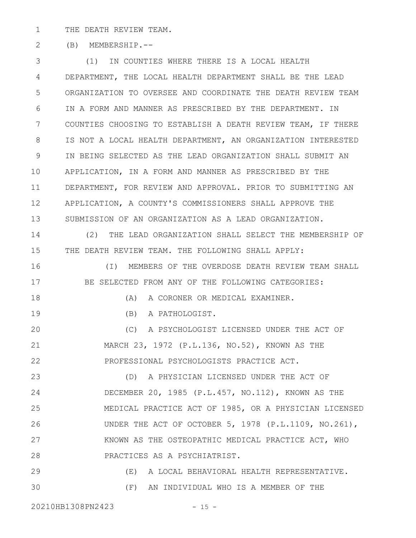THE DEATH REVIEW TEAM. 1

(B) MEMBERSHIP.-- 2

(1) IN COUNTIES WHERE THERE IS A LOCAL HEALTH DEPARTMENT, THE LOCAL HEALTH DEPARTMENT SHALL BE THE LEAD ORGANIZATION TO OVERSEE AND COORDINATE THE DEATH REVIEW TEAM IN A FORM AND MANNER AS PRESCRIBED BY THE DEPARTMENT. IN COUNTIES CHOOSING TO ESTABLISH A DEATH REVIEW TEAM, IF THERE IS NOT A LOCAL HEALTH DEPARTMENT, AN ORGANIZATION INTERESTED IN BEING SELECTED AS THE LEAD ORGANIZATION SHALL SUBMIT AN APPLICATION, IN A FORM AND MANNER AS PRESCRIBED BY THE DEPARTMENT, FOR REVIEW AND APPROVAL. PRIOR TO SUBMITTING AN APPLICATION, A COUNTY'S COMMISSIONERS SHALL APPROVE THE SUBMISSION OF AN ORGANIZATION AS A LEAD ORGANIZATION. (2) THE LEAD ORGANIZATION SHALL SELECT THE MEMBERSHIP OF THE DEATH REVIEW TEAM. THE FOLLOWING SHALL APPLY: (I) MEMBERS OF THE OVERDOSE DEATH REVIEW TEAM SHALL BE SELECTED FROM ANY OF THE FOLLOWING CATEGORIES: 3 4 5 6 7 8 9 10 11 12 13 14 15 16 17

18

19

(A) A CORONER OR MEDICAL EXAMINER.

(B) A PATHOLOGIST.

(C) A PSYCHOLOGIST LICENSED UNDER THE ACT OF MARCH 23, 1972 (P.L.136, NO.52), KNOWN AS THE PROFESSIONAL PSYCHOLOGISTS PRACTICE ACT. 20 21 22

(D) A PHYSICIAN LICENSED UNDER THE ACT OF DECEMBER 20, 1985 (P.L.457, NO.112), KNOWN AS THE MEDICAL PRACTICE ACT OF 1985, OR A PHYSICIAN LICENSED UNDER THE ACT OF OCTOBER 5, 1978 (P.L.1109, NO.261), KNOWN AS THE OSTEOPATHIC MEDICAL PRACTICE ACT, WHO PRACTICES AS A PSYCHIATRIST. 23 24 25 26 27 28

(E) A LOCAL BEHAVIORAL HEALTH REPRESENTATIVE. (F) AN INDIVIDUAL WHO IS A MEMBER OF THE 29 30

20210HB1308PN2423 - 15 -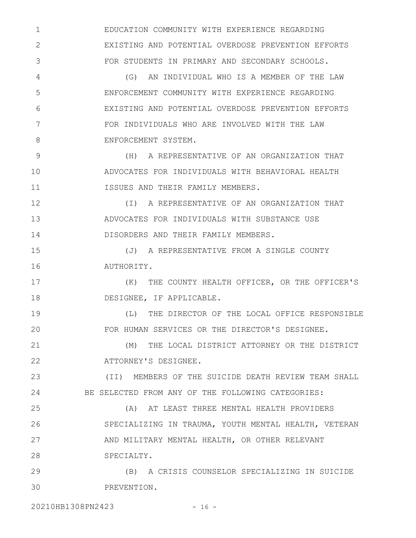EDUCATION COMMUNITY WITH EXPERIENCE REGARDING EXISTING AND POTENTIAL OVERDOSE PREVENTION EFFORTS FOR STUDENTS IN PRIMARY AND SECONDARY SCHOOLS.

(G) AN INDIVIDUAL WHO IS A MEMBER OF THE LAW ENFORCEMENT COMMUNITY WITH EXPERIENCE REGARDING EXISTING AND POTENTIAL OVERDOSE PREVENTION EFFORTS FOR INDIVIDUALS WHO ARE INVOLVED WITH THE LAW ENFORCEMENT SYSTEM.

(H) A REPRESENTATIVE OF AN ORGANIZATION THAT ADVOCATES FOR INDIVIDUALS WITH BEHAVIORAL HEALTH ISSUES AND THEIR FAMILY MEMBERS. 9 10 11

(I) A REPRESENTATIVE OF AN ORGANIZATION THAT ADVOCATES FOR INDIVIDUALS WITH SUBSTANCE USE DISORDERS AND THEIR FAMILY MEMBERS. 12 13 14

(J) A REPRESENTATIVE FROM A SINGLE COUNTY AUTHORITY. 15 16

(K) THE COUNTY HEALTH OFFICER, OR THE OFFICER'S DESIGNEE, IF APPLICABLE. 17 18

(L) THE DIRECTOR OF THE LOCAL OFFICE RESPONSIBLE FOR HUMAN SERVICES OR THE DIRECTOR'S DESIGNEE. 19 20

(M) THE LOCAL DISTRICT ATTORNEY OR THE DISTRICT ATTORNEY'S DESIGNEE. 21 22

(II) MEMBERS OF THE SUICIDE DEATH REVIEW TEAM SHALL BE SELECTED FROM ANY OF THE FOLLOWING CATEGORIES: 23 24

(A) AT LEAST THREE MENTAL HEALTH PROVIDERS SPECIALIZING IN TRAUMA, YOUTH MENTAL HEALTH, VETERAN AND MILITARY MENTAL HEALTH, OR OTHER RELEVANT SPECIALTY. 25 26 27 28

(B) A CRISIS COUNSELOR SPECIALIZING IN SUICIDE PREVENTION. 29 30

20210HB1308PN2423 - 16 -

1

2

3

4

5

6

7

8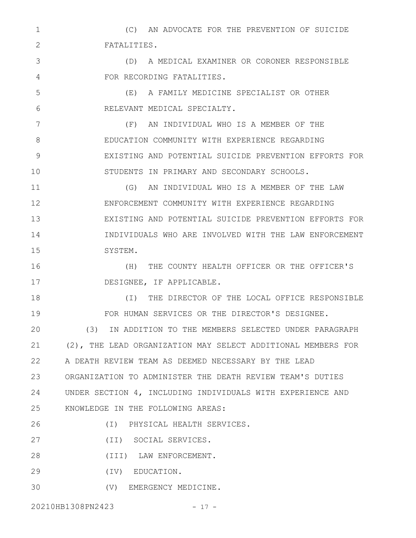(C) AN ADVOCATE FOR THE PREVENTION OF SUICIDE FATALITIES. 1 2

(D) A MEDICAL EXAMINER OR CORONER RESPONSIBLE FOR RECORDING FATALITIES. 3 4

(E) A FAMILY MEDICINE SPECIALIST OR OTHER RELEVANT MEDICAL SPECIALTY. 5 6

(F) AN INDIVIDUAL WHO IS A MEMBER OF THE EDUCATION COMMUNITY WITH EXPERIENCE REGARDING EXISTING AND POTENTIAL SUICIDE PREVENTION EFFORTS FOR STUDENTS IN PRIMARY AND SECONDARY SCHOOLS. 7 8 9 10

(G) AN INDIVIDUAL WHO IS A MEMBER OF THE LAW ENFORCEMENT COMMUNITY WITH EXPERIENCE REGARDING EXISTING AND POTENTIAL SUICIDE PREVENTION EFFORTS FOR INDIVIDUALS WHO ARE INVOLVED WITH THE LAW ENFORCEMENT SYSTEM. 11 12 13 14 15

(H) THE COUNTY HEALTH OFFICER OR THE OFFICER'S DESIGNEE, IF APPLICABLE. 16 17

(I) THE DIRECTOR OF THE LOCAL OFFICE RESPONSIBLE FOR HUMAN SERVICES OR THE DIRECTOR'S DESIGNEE. 18 19

(3) IN ADDITION TO THE MEMBERS SELECTED UNDER PARAGRAPH (2), THE LEAD ORGANIZATION MAY SELECT ADDITIONAL MEMBERS FOR A DEATH REVIEW TEAM AS DEEMED NECESSARY BY THE LEAD 22 ORGANIZATION TO ADMINISTER THE DEATH REVIEW TEAM'S DUTIES 23 UNDER SECTION 4, INCLUDING INDIVIDUALS WITH EXPERIENCE AND KNOWLEDGE IN THE FOLLOWING AREAS: 20 21 24 25

(I) PHYSICAL HEALTH SERVICES. 26

(II) SOCIAL SERVICES. 27

(III) LAW ENFORCEMENT. 28

(IV) EDUCATION. 29

(V) EMERGENCY MEDICINE. 30

20210HB1308PN2423 - 17 -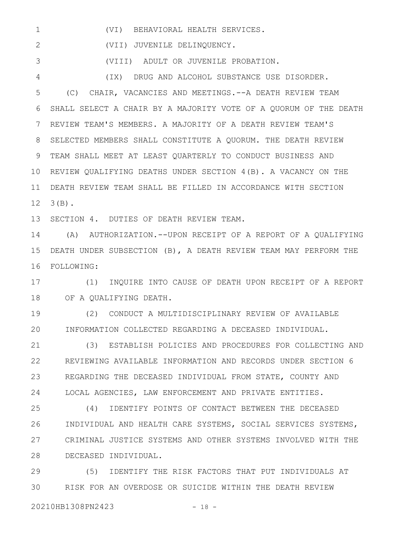(VI) BEHAVIORAL HEALTH SERVICES. 1

(VII) JUVENILE DELINQUENCY. 2

(VIII) ADULT OR JUVENILE PROBATION. 3

(IX) DRUG AND ALCOHOL SUBSTANCE USE DISORDER. 4

(C) CHAIR, VACANCIES AND MEETINGS.--A DEATH REVIEW TEAM SHALL SELECT A CHAIR BY A MAJORITY VOTE OF A QUORUM OF THE DEATH REVIEW TEAM'S MEMBERS. A MAJORITY OF A DEATH REVIEW TEAM'S SELECTED MEMBERS SHALL CONSTITUTE A QUORUM. THE DEATH REVIEW TEAM SHALL MEET AT LEAST QUARTERLY TO CONDUCT BUSINESS AND 10 REVIEW QUALIFYING DEATHS UNDER SECTION 4(B). A VACANCY ON THE DEATH REVIEW TEAM SHALL BE FILLED IN ACCORDANCE WITH SECTION 3(B). 12 5 6 7 8 9 11

SECTION 4. DUTIES OF DEATH REVIEW TEAM. 13

(A) AUTHORIZATION.--UPON RECEIPT OF A REPORT OF A QUALIFYING DEATH UNDER SUBSECTION (B), A DEATH REVIEW TEAM MAY PERFORM THE 15 FOLLOWING: 16 14

(1) INQUIRE INTO CAUSE OF DEATH UPON RECEIPT OF A REPORT OF A QUALIFYING DEATH. 17 18

(2) CONDUCT A MULTIDISCIPLINARY REVIEW OF AVAILABLE INFORMATION COLLECTED REGARDING A DECEASED INDIVIDUAL. 19 20

(3) ESTABLISH POLICIES AND PROCEDURES FOR COLLECTING AND REVIEWING AVAILABLE INFORMATION AND RECORDS UNDER SECTION 6 REGARDING THE DECEASED INDIVIDUAL FROM STATE, COUNTY AND LOCAL AGENCIES, LAW ENFORCEMENT AND PRIVATE ENTITIES. 21 22 23 24

(4) IDENTIFY POINTS OF CONTACT BETWEEN THE DECEASED INDIVIDUAL AND HEALTH CARE SYSTEMS, SOCIAL SERVICES SYSTEMS, CRIMINAL JUSTICE SYSTEMS AND OTHER SYSTEMS INVOLVED WITH THE DECEASED INDIVIDUAL. 25 26 27 28

(5) IDENTIFY THE RISK FACTORS THAT PUT INDIVIDUALS AT RISK FOR AN OVERDOSE OR SUICIDE WITHIN THE DEATH REVIEW 29 30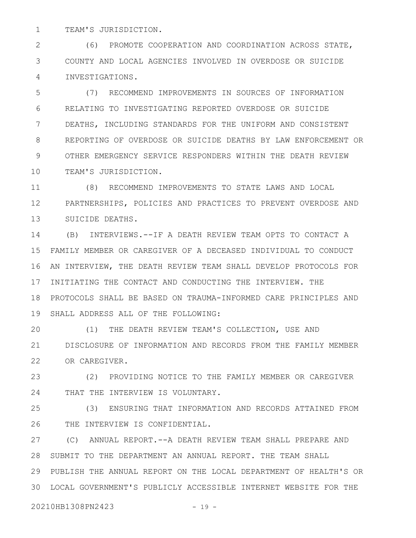TEAM'S JURISDICTION. 1

(6) PROMOTE COOPERATION AND COORDINATION ACROSS STATE, COUNTY AND LOCAL AGENCIES INVOLVED IN OVERDOSE OR SUICIDE INVESTIGATIONS. 2 3 4

(7) RECOMMEND IMPROVEMENTS IN SOURCES OF INFORMATION RELATING TO INVESTIGATING REPORTED OVERDOSE OR SUICIDE DEATHS, INCLUDING STANDARDS FOR THE UNIFORM AND CONSISTENT REPORTING OF OVERDOSE OR SUICIDE DEATHS BY LAW ENFORCEMENT OR OTHER EMERGENCY SERVICE RESPONDERS WITHIN THE DEATH REVIEW TEAM'S JURISDICTION. 5 6 7 8 9 10

(8) RECOMMEND IMPROVEMENTS TO STATE LAWS AND LOCAL PARTNERSHIPS, POLICIES AND PRACTICES TO PREVENT OVERDOSE AND 13 SUICIDE DEATHS. 11 12

(B) INTERVIEWS.--IF A DEATH REVIEW TEAM OPTS TO CONTACT A FAMILY MEMBER OR CAREGIVER OF A DECEASED INDIVIDUAL TO CONDUCT AN INTERVIEW, THE DEATH REVIEW TEAM SHALL DEVELOP PROTOCOLS FOR 17 INITIATING THE CONTACT AND CONDUCTING THE INTERVIEW. THE PROTOCOLS SHALL BE BASED ON TRAUMA-INFORMED CARE PRINCIPLES AND 18 19 SHALL ADDRESS ALL OF THE FOLLOWING: 14 15 16

(1) THE DEATH REVIEW TEAM'S COLLECTION, USE AND DISCLOSURE OF INFORMATION AND RECORDS FROM THE FAMILY MEMBER 22 OR CAREGIVER. 20 21

(2) PROVIDING NOTICE TO THE FAMILY MEMBER OR CAREGIVER THAT THE INTERVIEW IS VOLUNTARY. 23 24

(3) ENSURING THAT INFORMATION AND RECORDS ATTAINED FROM THE INTERVIEW IS CONFIDENTIAL. 25 26

(C) ANNUAL REPORT.--A DEATH REVIEW TEAM SHALL PREPARE AND 28 SUBMIT TO THE DEPARTMENT AN ANNUAL REPORT. THE TEAM SHALL PUBLISH THE ANNUAL REPORT ON THE LOCAL DEPARTMENT OF HEALTH'S OR 29 LOCAL GOVERNMENT'S PUBLICLY ACCESSIBLE INTERNET WEBSITE FOR THE 3027

20210HB1308PN2423 - 19 -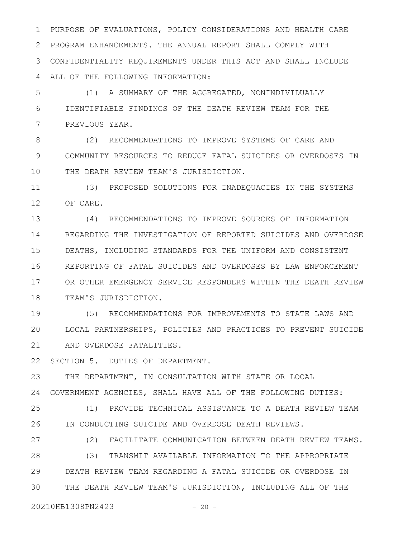PURPOSE OF EVALUATIONS, POLICY CONSIDERATIONS AND HEALTH CARE PROGRAM ENHANCEMENTS. THE ANNUAL REPORT SHALL COMPLY WITH CONFIDENTIALITY REQUIREMENTS UNDER THIS ACT AND SHALL INCLUDE ALL OF THE FOLLOWING INFORMATION: 1 2 3 4

(1) A SUMMARY OF THE AGGREGATED, NONINDIVIDUALLY IDENTIFIABLE FINDINGS OF THE DEATH REVIEW TEAM FOR THE PREVIOUS YEAR. 5 6 7

(2) RECOMMENDATIONS TO IMPROVE SYSTEMS OF CARE AND COMMUNITY RESOURCES TO REDUCE FATAL SUICIDES OR OVERDOSES IN THE DEATH REVIEW TEAM'S JURISDICTION. 8 9 10

(3) PROPOSED SOLUTIONS FOR INADEQUACIES IN THE SYSTEMS OF CARE. 11 12

(4) RECOMMENDATIONS TO IMPROVE SOURCES OF INFORMATION REGARDING THE INVESTIGATION OF REPORTED SUICIDES AND OVERDOSE DEATHS, INCLUDING STANDARDS FOR THE UNIFORM AND CONSISTENT REPORTING OF FATAL SUICIDES AND OVERDOSES BY LAW ENFORCEMENT OR OTHER EMERGENCY SERVICE RESPONDERS WITHIN THE DEATH REVIEW TEAM'S JURISDICTION. 13 14 15 16 17 18

(5) RECOMMENDATIONS FOR IMPROVEMENTS TO STATE LAWS AND LOCAL PARTNERSHIPS, POLICIES AND PRACTICES TO PREVENT SUICIDE AND OVERDOSE FATALITIES. 19 20 21

SECTION 5. DUTIES OF DEPARTMENT. 22

THE DEPARTMENT, IN CONSULTATION WITH STATE OR LOCAL GOVERNMENT AGENCIES, SHALL HAVE ALL OF THE FOLLOWING DUTIES: 24 23

(1) PROVIDE TECHNICAL ASSISTANCE TO A DEATH REVIEW TEAM IN CONDUCTING SUICIDE AND OVERDOSE DEATH REVIEWS. 25 26

27

28

(2) FACILITATE COMMUNICATION BETWEEN DEATH REVIEW TEAMS. (3) TRANSMIT AVAILABLE INFORMATION TO THE APPROPRIATE

DEATH REVIEW TEAM REGARDING A FATAL SUICIDE OR OVERDOSE IN THE DEATH REVIEW TEAM'S JURISDICTION, INCLUDING ALL OF THE 29 30

20210HB1308PN2423 - 20 -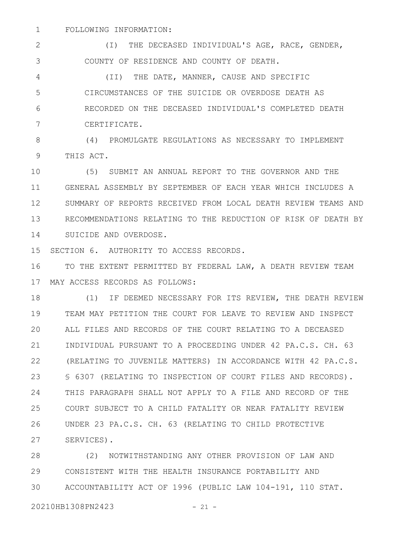FOLLOWING INFORMATION: 1

(I) THE DECEASED INDIVIDUAL'S AGE, RACE, GENDER, COUNTY OF RESIDENCE AND COUNTY OF DEATH. 2 3

(II) THE DATE, MANNER, CAUSE AND SPECIFIC CIRCUMSTANCES OF THE SUICIDE OR OVERDOSE DEATH AS RECORDED ON THE DECEASED INDIVIDUAL'S COMPLETED DEATH CERTIFICATE. 4 5 6 7

(4) PROMULGATE REGULATIONS AS NECESSARY TO IMPLEMENT THIS ACT. 8 9

(5) SUBMIT AN ANNUAL REPORT TO THE GOVERNOR AND THE GENERAL ASSEMBLY BY SEPTEMBER OF EACH YEAR WHICH INCLUDES A SUMMARY OF REPORTS RECEIVED FROM LOCAL DEATH REVIEW TEAMS AND RECOMMENDATIONS RELATING TO THE REDUCTION OF RISK OF DEATH BY SUICIDE AND OVERDOSE. 10 11 12 13 14

SECTION 6. AUTHORITY TO ACCESS RECORDS. 15

TO THE EXTENT PERMITTED BY FEDERAL LAW, A DEATH REVIEW TEAM MAY ACCESS RECORDS AS FOLLOWS: 17 16

(1) IF DEEMED NECESSARY FOR ITS REVIEW, THE DEATH REVIEW TEAM MAY PETITION THE COURT FOR LEAVE TO REVIEW AND INSPECT ALL FILES AND RECORDS OF THE COURT RELATING TO A DECEASED INDIVIDUAL PURSUANT TO A PROCEEDING UNDER 42 PA.C.S. CH. 63 (RELATING TO JUVENILE MATTERS) IN ACCORDANCE WITH 42 PA.C.S. § 6307 (RELATING TO INSPECTION OF COURT FILES AND RECORDS). THIS PARAGRAPH SHALL NOT APPLY TO A FILE AND RECORD OF THE COURT SUBJECT TO A CHILD FATALITY OR NEAR FATALITY REVIEW UNDER 23 PA.C.S. CH. 63 (RELATING TO CHILD PROTECTIVE SERVICES). 18 19 20 21 22 23 24 25 26 27

(2) NOTWITHSTANDING ANY OTHER PROVISION OF LAW AND CONSISTENT WITH THE HEALTH INSURANCE PORTABILITY AND ACCOUNTABILITY ACT OF 1996 (PUBLIC LAW 104-191, 110 STAT. 28 29 30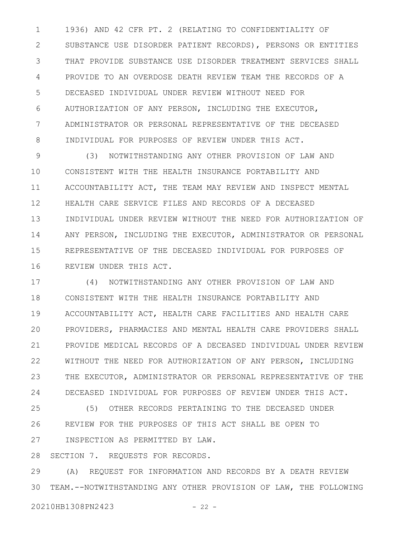1936) AND 42 CFR PT. 2 (RELATING TO CONFIDENTIALITY OF SUBSTANCE USE DISORDER PATIENT RECORDS), PERSONS OR ENTITIES THAT PROVIDE SUBSTANCE USE DISORDER TREATMENT SERVICES SHALL PROVIDE TO AN OVERDOSE DEATH REVIEW TEAM THE RECORDS OF A DECEASED INDIVIDUAL UNDER REVIEW WITHOUT NEED FOR AUTHORIZATION OF ANY PERSON, INCLUDING THE EXECUTOR, ADMINISTRATOR OR PERSONAL REPRESENTATIVE OF THE DECEASED INDIVIDUAL FOR PURPOSES OF REVIEW UNDER THIS ACT. 1 2 3 4 5 6 7 8

(3) NOTWITHSTANDING ANY OTHER PROVISION OF LAW AND CONSISTENT WITH THE HEALTH INSURANCE PORTABILITY AND ACCOUNTABILITY ACT, THE TEAM MAY REVIEW AND INSPECT MENTAL HEALTH CARE SERVICE FILES AND RECORDS OF A DECEASED INDIVIDUAL UNDER REVIEW WITHOUT THE NEED FOR AUTHORIZATION OF ANY PERSON, INCLUDING THE EXECUTOR, ADMINISTRATOR OR PERSONAL REPRESENTATIVE OF THE DECEASED INDIVIDUAL FOR PURPOSES OF REVIEW UNDER THIS ACT. 9 10 11 12 13 14 15 16

(4) NOTWITHSTANDING ANY OTHER PROVISION OF LAW AND CONSISTENT WITH THE HEALTH INSURANCE PORTABILITY AND ACCOUNTABILITY ACT, HEALTH CARE FACILITIES AND HEALTH CARE PROVIDERS, PHARMACIES AND MENTAL HEALTH CARE PROVIDERS SHALL PROVIDE MEDICAL RECORDS OF A DECEASED INDIVIDUAL UNDER REVIEW WITHOUT THE NEED FOR AUTHORIZATION OF ANY PERSON, INCLUDING THE EXECUTOR, ADMINISTRATOR OR PERSONAL REPRESENTATIVE OF THE DECEASED INDIVIDUAL FOR PURPOSES OF REVIEW UNDER THIS ACT. 17 18 19 20 21 22 23 24

(5) OTHER RECORDS PERTAINING TO THE DECEASED UNDER REVIEW FOR THE PURPOSES OF THIS ACT SHALL BE OPEN TO INSPECTION AS PERMITTED BY LAW. 25 26 27

SECTION 7. REQUESTS FOR RECORDS. 28

(A) REQUEST FOR INFORMATION AND RECORDS BY A DEATH REVIEW TEAM.--NOTWITHSTANDING ANY OTHER PROVISION OF LAW, THE FOLLOWING 29 30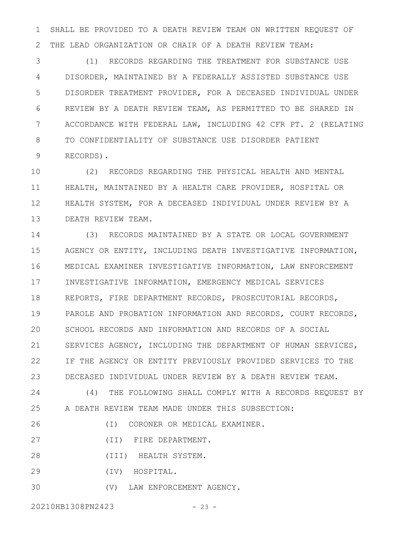SHALL BE PROVIDED TO A DEATH REVIEW TEAM ON WRITTEN REQUEST OF THE LEAD ORGANIZATION OR CHAIR OF A DEATH REVIEW TEAM: 1 2

(1) RECORDS REGARDING THE TREATMENT FOR SUBSTANCE USE DISORDER, MAINTAINED BY A FEDERALLY ASSISTED SUBSTANCE USE DISORDER TREATMENT PROVIDER, FOR A DECEASED INDIVIDUAL UNDER REVIEW BY A DEATH REVIEW TEAM, AS PERMITTED TO BE SHARED IN ACCORDANCE WITH FEDERAL LAW, INCLUDING 42 CFR PT. 2 (RELATING TO CONFIDENTIALITY OF SUBSTANCE USE DISORDER PATIENT RECORDS). 3 4 5 6 7 8 9

(2) RECORDS REGARDING THE PHYSICAL HEALTH AND MENTAL HEALTH, MAINTAINED BY A HEALTH CARE PROVIDER, HOSPITAL OR HEALTH SYSTEM, FOR A DECEASED INDIVIDUAL UNDER REVIEW BY A DEATH REVIEW TEAM. 10 11 12 13

(3) RECORDS MAINTAINED BY A STATE OR LOCAL GOVERNMENT AGENCY OR ENTITY, INCLUDING DEATH INVESTIGATIVE INFORMATION, MEDICAL EXAMINER INVESTIGATIVE INFORMATION, LAW ENFORCEMENT INVESTIGATIVE INFORMATION, EMERGENCY MEDICAL SERVICES REPORTS, FIRE DEPARTMENT RECORDS, PROSECUTORIAL RECORDS, PAROLE AND PROBATION INFORMATION AND RECORDS, COURT RECORDS, SCHOOL RECORDS AND INFORMATION AND RECORDS OF A SOCIAL SERVICES AGENCY, INCLUDING THE DEPARTMENT OF HUMAN SERVICES, IF THE AGENCY OR ENTITY PREVIOUSLY PROVIDED SERVICES TO THE DECEASED INDIVIDUAL UNDER REVIEW BY A DEATH REVIEW TEAM. (4) THE FOLLOWING SHALL COMPLY WITH A RECORDS REQUEST BY A DEATH REVIEW TEAM MADE UNDER THIS SUBSECTION: 14 15 16 17 18 19 20 21 22 23 24 25 26

(I) CORONER OR MEDICAL EXAMINER.

(II) FIRE DEPARTMENT. 27

(III) HEALTH SYSTEM. 28

(IV) HOSPITAL. 29

(V) LAW ENFORCEMENT AGENCY. 30

20210HB1308PN2423 - 23 -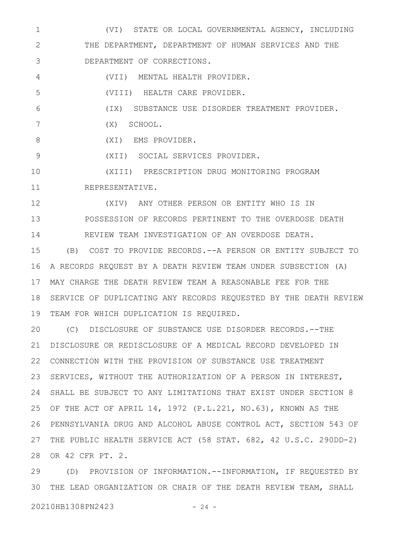(VI) STATE OR LOCAL GOVERNMENTAL AGENCY, INCLUDING THE DEPARTMENT, DEPARTMENT OF HUMAN SERVICES AND THE DEPARTMENT OF CORRECTIONS. 1 2 3

(VII) MENTAL HEALTH PROVIDER. 4

(VIII) HEALTH CARE PROVIDER. 5

(IX) SUBSTANCE USE DISORDER TREATMENT PROVIDER. 6

(X) SCHOOL. 7

(XI) EMS PROVIDER. 8

(XII) SOCIAL SERVICES PROVIDER. 9

(XIII) PRESCRIPTION DRUG MONITORING PROGRAM REPRESENTATIVE. 10 11

(XIV) ANY OTHER PERSON OR ENTITY WHO IS IN POSSESSION OF RECORDS PERTINENT TO THE OVERDOSE DEATH REVIEW TEAM INVESTIGATION OF AN OVERDOSE DEATH. 12 13 14

(B) COST TO PROVIDE RECORDS.--A PERSON OR ENTITY SUBJECT TO A RECORDS REQUEST BY A DEATH REVIEW TEAM UNDER SUBSECTION (A) MAY CHARGE THE DEATH REVIEW TEAM A REASONABLE FEE FOR THE 17 18 SERVICE OF DUPLICATING ANY RECORDS REQUESTED BY THE DEATH REVIEW 19 TEAM FOR WHICH DUPLICATION IS REQUIRED. 15 16

(C) DISCLOSURE OF SUBSTANCE USE DISORDER RECORDS.--THE DISCLOSURE OR REDISCLOSURE OF A MEDICAL RECORD DEVELOPED IN 22 CONNECTION WITH THE PROVISION OF SUBSTANCE USE TREATMENT 23 SERVICES, WITHOUT THE AUTHORIZATION OF A PERSON IN INTEREST, SHALL BE SUBJECT TO ANY LIMITATIONS THAT EXIST UNDER SECTION 8 24 25 OF THE ACT OF APRIL 14, 1972 (P.L.221, NO.63), KNOWN AS THE PENNSYLVANIA DRUG AND ALCOHOL ABUSE CONTROL ACT, SECTION 543 OF 26 THE PUBLIC HEALTH SERVICE ACT (58 STAT. 682, 42 U.S.C. 290DD-2) 27 28 OR 42 CFR PT. 2. 20 21

(D) PROVISION OF INFORMATION.--INFORMATION, IF REQUESTED BY THE LEAD ORGANIZATION OR CHAIR OF THE DEATH REVIEW TEAM, SHALL 3029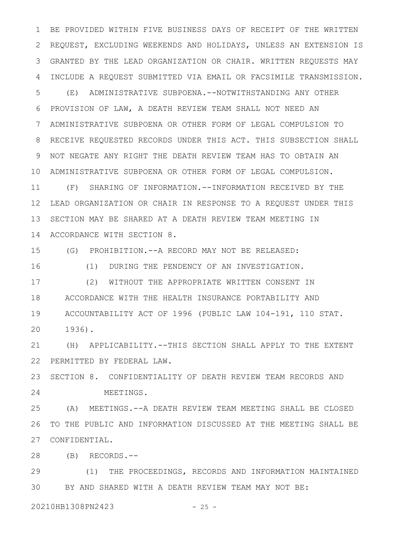BE PROVIDED WITHIN FIVE BUSINESS DAYS OF RECEIPT OF THE WRITTEN REQUEST, EXCLUDING WEEKENDS AND HOLIDAYS, UNLESS AN EXTENSION IS GRANTED BY THE LEAD ORGANIZATION OR CHAIR. WRITTEN REQUESTS MAY INCLUDE A REQUEST SUBMITTED VIA EMAIL OR FACSIMILE TRANSMISSION. (E) ADMINISTRATIVE SUBPOENA.--NOTWITHSTANDING ANY OTHER PROVISION OF LAW, A DEATH REVIEW TEAM SHALL NOT NEED AN ADMINISTRATIVE SUBPOENA OR OTHER FORM OF LEGAL COMPULSION TO RECEIVE REQUESTED RECORDS UNDER THIS ACT. THIS SUBSECTION SHALL NOT NEGATE ANY RIGHT THE DEATH REVIEW TEAM HAS TO OBTAIN AN ADMINISTRATIVE SUBPOENA OR OTHER FORM OF LEGAL COMPULSION. 10 (F) SHARING OF INFORMATION.--INFORMATION RECEIVED BY THE LEAD ORGANIZATION OR CHAIR IN RESPONSE TO A REQUEST UNDER THIS SECTION MAY BE SHARED AT A DEATH REVIEW TEAM MEETING IN 1 2 3 4 5 6 7 8 9 11 12 13

ACCORDANCE WITH SECTION 8. 14

(G) PROHIBITION.--A RECORD MAY NOT BE RELEASED: 15

(1) DURING THE PENDENCY OF AN INVESTIGATION. 16

(2) WITHOUT THE APPROPRIATE WRITTEN CONSENT IN ACCORDANCE WITH THE HEALTH INSURANCE PORTABILITY AND ACCOUNTABILITY ACT OF 1996 (PUBLIC LAW 104-191, 110 STAT. 1936). 17 18 19 20

(H) APPLICABILITY.--THIS SECTION SHALL APPLY TO THE EXTENT PERMITTED BY FEDERAL LAW. 21 22

SECTION 8. CONFIDENTIALITY OF DEATH REVIEW TEAM RECORDS AND MEETINGS. 23 24

(A) MEETINGS.--A DEATH REVIEW TEAM MEETING SHALL BE CLOSED TO THE PUBLIC AND INFORMATION DISCUSSED AT THE MEETING SHALL BE CONFIDENTIAL. 25 26 27

(B) RECORDS.-- 28

(1) THE PROCEEDINGS, RECORDS AND INFORMATION MAINTAINED BY AND SHARED WITH A DEATH REVIEW TEAM MAY NOT BE: 29 30

20210HB1308PN2423 - 25 -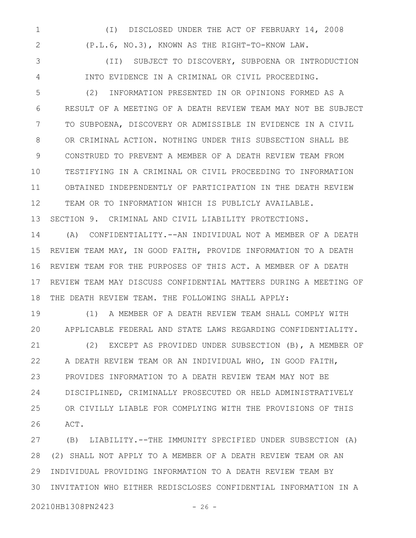(I) DISCLOSED UNDER THE ACT OF FEBRUARY 14, 2008 (P.L.6, NO.3), KNOWN AS THE RIGHT-TO-KNOW LAW. 1 2

(II) SUBJECT TO DISCOVERY, SUBPOENA OR INTRODUCTION INTO EVIDENCE IN A CRIMINAL OR CIVIL PROCEEDING. 3 4

(2) INFORMATION PRESENTED IN OR OPINIONS FORMED AS A RESULT OF A MEETING OF A DEATH REVIEW TEAM MAY NOT BE SUBJECT TO SUBPOENA, DISCOVERY OR ADMISSIBLE IN EVIDENCE IN A CIVIL OR CRIMINAL ACTION. NOTHING UNDER THIS SUBSECTION SHALL BE CONSTRUED TO PREVENT A MEMBER OF A DEATH REVIEW TEAM FROM TESTIFYING IN A CRIMINAL OR CIVIL PROCEEDING TO INFORMATION OBTAINED INDEPENDENTLY OF PARTICIPATION IN THE DEATH REVIEW TEAM OR TO INFORMATION WHICH IS PUBLICLY AVAILABLE. SECTION 9. CRIMINAL AND CIVIL LIABILITY PROTECTIONS. 5 6 7 8 9 10 11 12 13

(A) CONFIDENTIALITY.--AN INDIVIDUAL NOT A MEMBER OF A DEATH REVIEW TEAM MAY, IN GOOD FAITH, PROVIDE INFORMATION TO A DEATH REVIEW TEAM FOR THE PURPOSES OF THIS ACT. A MEMBER OF A DEATH REVIEW TEAM MAY DISCUSS CONFIDENTIAL MATTERS DURING A MEETING OF THE DEATH REVIEW TEAM. THE FOLLOWING SHALL APPLY: 14 15 16 17 18

(1) A MEMBER OF A DEATH REVIEW TEAM SHALL COMPLY WITH APPLICABLE FEDERAL AND STATE LAWS REGARDING CONFIDENTIALITY. 19 20

(2) EXCEPT AS PROVIDED UNDER SUBSECTION (B), A MEMBER OF A DEATH REVIEW TEAM OR AN INDIVIDUAL WHO, IN GOOD FAITH, PROVIDES INFORMATION TO A DEATH REVIEW TEAM MAY NOT BE DISCIPLINED, CRIMINALLY PROSECUTED OR HELD ADMINISTRATIVELY OR CIVILLY LIABLE FOR COMPLYING WITH THE PROVISIONS OF THIS ACT. 21 22 23 24 25 26

(B) LIABILITY.--THE IMMUNITY SPECIFIED UNDER SUBSECTION (A) (2) SHALL NOT APPLY TO A MEMBER OF A DEATH REVIEW TEAM OR AN INDIVIDUAL PROVIDING INFORMATION TO A DEATH REVIEW TEAM BY INVITATION WHO EITHER REDISCLOSES CONFIDENTIAL INFORMATION IN A 27 28 29 30

20210HB1308PN2423 - 26 -